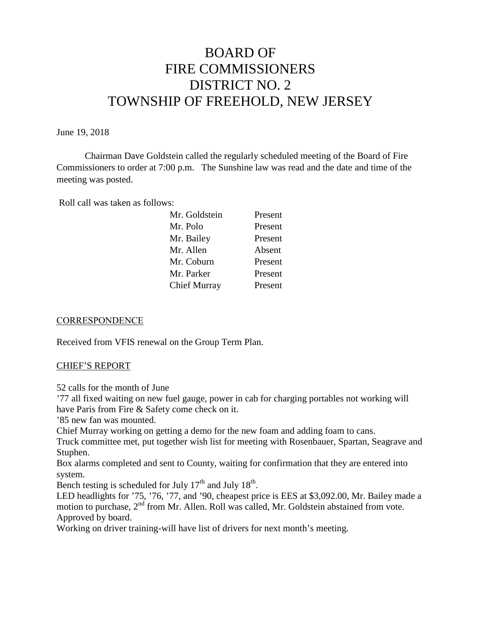# BOARD OF FIRE COMMISSIONERS DISTRICT NO. 2 TOWNSHIP OF FREEHOLD, NEW JERSEY

#### June 19, 2018

Chairman Dave Goldstein called the regularly scheduled meeting of the Board of Fire Commissioners to order at 7:00 p.m. The Sunshine law was read and the date and time of the meeting was posted.

Roll call was taken as follows:

| Present |
|---------|
| Present |
| Present |
| Absent  |
| Present |
| Present |
| Present |
|         |

#### **CORRESPONDENCE**

Received from VFIS renewal on the Group Term Plan.

#### CHIEF'S REPORT

52 calls for the month of June

'77 all fixed waiting on new fuel gauge, power in cab for charging portables not working will have Paris from Fire & Safety come check on it.

'85 new fan was mounted.

Chief Murray working on getting a demo for the new foam and adding foam to cans.

Truck committee met, put together wish list for meeting with Rosenbauer, Spartan, Seagrave and Stuphen.

Box alarms completed and sent to County, waiting for confirmation that they are entered into system.

Bench testing is scheduled for July  $17<sup>th</sup>$  and July  $18<sup>th</sup>$ .

LED headlights for '75, '76, '77, and '90, cheapest price is EES at \$3,092.00, Mr. Bailey made a motion to purchase, 2<sup>nd</sup> from Mr. Allen. Roll was called, Mr. Goldstein abstained from vote. Approved by board.

Working on driver training-will have list of drivers for next month's meeting.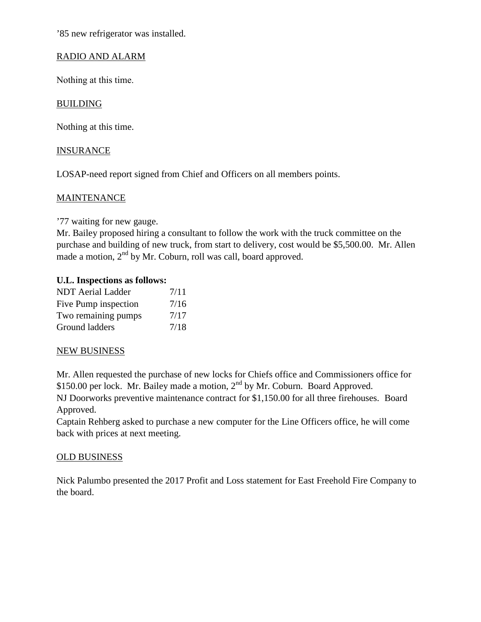'85 new refrigerator was installed.

# RADIO AND ALARM

Nothing at this time.

# **BUILDING**

Nothing at this time.

## **INSURANCE**

LOSAP-need report signed from Chief and Officers on all members points.

## MAINTENANCE

'77 waiting for new gauge.

Mr. Bailey proposed hiring a consultant to follow the work with the truck committee on the purchase and building of new truck, from start to delivery, cost would be \$5,500.00. Mr. Allen made a motion,  $2<sup>nd</sup>$  by Mr. Coburn, roll was call, board approved.

### **U.L. Inspections as follows:**

| <b>NDT</b> Aerial Ladder | 7/11 |
|--------------------------|------|
| Five Pump inspection     | 7/16 |
| Two remaining pumps      | 7/17 |
| Ground ladders           | 7/18 |

### NEW BUSINESS

Mr. Allen requested the purchase of new locks for Chiefs office and Commissioners office for \$150.00 per lock. Mr. Bailey made a motion, 2<sup>nd</sup> by Mr. Coburn. Board Approved.

NJ Doorworks preventive maintenance contract for \$1,150.00 for all three firehouses. Board Approved.

Captain Rehberg asked to purchase a new computer for the Line Officers office, he will come back with prices at next meeting.

### OLD BUSINESS

Nick Palumbo presented the 2017 Profit and Loss statement for East Freehold Fire Company to the board.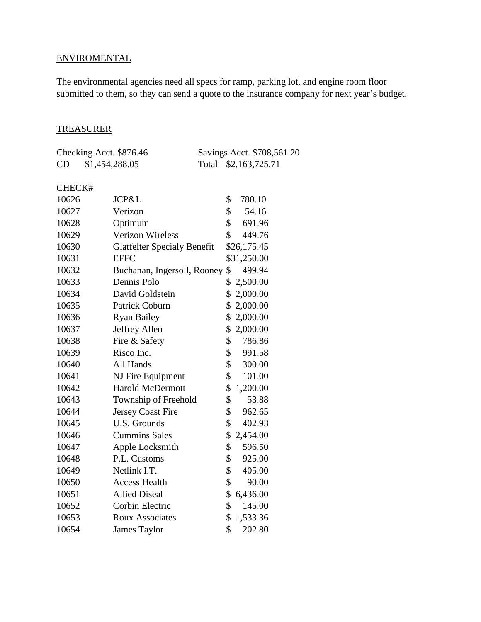# **ENVIROMENTAL**

The environmental agencies need all specs for ramp, parking lot, and engine room floor submitted to them, so they can send a quote to the insurance company for next year's budget.

#### TREASURER

|    | Checking Acct. \$876.46 | Savings Acct. \$708,561.20 |
|----|-------------------------|----------------------------|
| CD | \$1,454,288.05          | Total \$2,163,725.71       |

## CHECK#

| 10626 | JCP&L                              | \$ | 780.10 |             |
|-------|------------------------------------|----|--------|-------------|
| 10627 | Verizon                            | \$ | 54.16  |             |
| 10628 | Optimum                            | \$ |        | 691.96      |
| 10629 | <b>Verizon Wireless</b>            | \$ |        | 449.76      |
| 10630 | <b>Glatfelter Specialy Benefit</b> |    |        | \$26,175.45 |
| 10631 | <b>EFFC</b>                        |    |        | \$31,250.00 |
| 10632 | Buchanan, Ingersoll, Rooney        | \$ |        | 499.94      |
| 10633 | Dennis Polo                        | \$ |        | 2,500.00    |
| 10634 | David Goldstein                    | \$ |        | 2,000.00    |
| 10635 | Patrick Coburn                     | \$ |        | 2,000.00    |
| 10636 | <b>Ryan Bailey</b>                 | \$ |        | 2,000.00    |
| 10637 | Jeffrey Allen                      |    |        | \$2,000.00  |
| 10638 | Fire & Safety                      | \$ |        | 786.86      |
| 10639 | Risco Inc.                         | \$ |        | 991.58      |
| 10640 | All Hands                          | \$ |        | 300.00      |
| 10641 | NJ Fire Equipment                  | \$ |        | 101.00      |
| 10642 | <b>Harold McDermott</b>            | \$ |        | 1,200.00    |
| 10643 | Township of Freehold               | \$ |        | 53.88       |
| 10644 | <b>Jersey Coast Fire</b>           | \$ |        | 962.65      |
| 10645 | <b>U.S. Grounds</b>                | \$ |        | 402.93      |
| 10646 | <b>Cummins Sales</b>               | \$ |        | 2,454.00    |
| 10647 | Apple Locksmith                    | \$ |        | 596.50      |
| 10648 | P.L. Customs                       | \$ |        | 925.00      |
| 10649 | Netlink I.T.                       | \$ |        | 405.00      |
| 10650 | <b>Access Health</b>               | \$ |        | 90.00       |
| 10651 | <b>Allied Diseal</b>               | \$ |        | 6,436.00    |
| 10652 | Corbin Electric                    | \$ |        | 145.00      |
| 10653 | <b>Roux Associates</b>             | \$ |        | 1,533.36    |
| 10654 | <b>James Taylor</b>                | \$ |        | 202.80      |